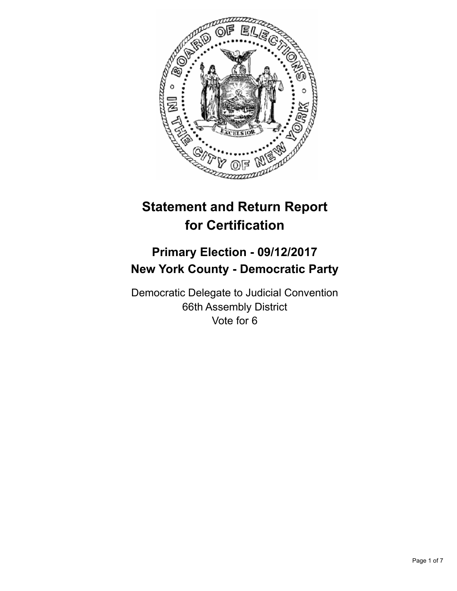

# **Statement and Return Report for Certification**

# **Primary Election - 09/12/2017 New York County - Democratic Party**

Democratic Delegate to Judicial Convention 66th Assembly District Vote for 6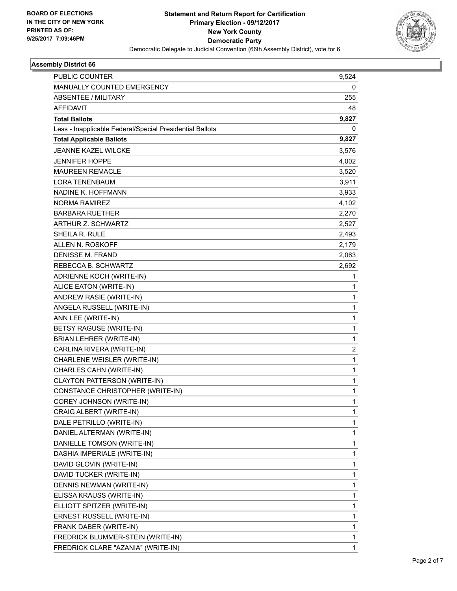

## **Assembly District 66**

| PUBLIC COUNTER                                           | 9,524          |
|----------------------------------------------------------|----------------|
| MANUALLY COUNTED EMERGENCY                               | 0              |
| <b>ABSENTEE / MILITARY</b>                               | 255            |
| <b>AFFIDAVIT</b>                                         | 48             |
| <b>Total Ballots</b>                                     | 9,827          |
| Less - Inapplicable Federal/Special Presidential Ballots | 0              |
| <b>Total Applicable Ballots</b>                          | 9,827          |
| <b>JEANNE KAZEL WILCKE</b>                               | 3,576          |
| <b>JENNIFER HOPPE</b>                                    | 4,002          |
| <b>MAUREEN REMACLE</b>                                   | 3,520          |
| <b>LORA TENENBAUM</b>                                    | 3,911          |
| NADINE K. HOFFMANN                                       | 3,933          |
| NORMA RAMIREZ                                            | 4,102          |
| <b>BARBARA RUETHER</b>                                   | 2,270          |
| ARTHUR Z. SCHWARTZ                                       | 2,527          |
| SHEILA R. RULE                                           | 2,493          |
| ALLEN N. ROSKOFF                                         | 2,179          |
| <b>DENISSE M. FRAND</b>                                  | 2,063          |
| REBECCA B. SCHWARTZ                                      | 2,692          |
| ADRIENNE KOCH (WRITE-IN)                                 | 1              |
| ALICE EATON (WRITE-IN)                                   | 1              |
| ANDREW RASIE (WRITE-IN)                                  | 1              |
| ANGELA RUSSELL (WRITE-IN)                                | 1              |
| ANN LEE (WRITE-IN)                                       | 1              |
| <b>BETSY RAGUSE (WRITE-IN)</b>                           | 1              |
| BRIAN LEHRER (WRITE-IN)                                  | 1              |
| CARLINA RIVERA (WRITE-IN)                                | $\overline{2}$ |
| <b>CHARLENE WEISLER (WRITE-IN)</b>                       | 1              |
| CHARLES CAHN (WRITE-IN)                                  | 1              |
| <b>CLAYTON PATTERSON (WRITE-IN)</b>                      | 1              |
| CONSTANCE CHRISTOPHER (WRITE-IN)                         | 1              |
| COREY JOHNSON (WRITE-IN)                                 | 1              |
| CRAIG ALBERT (WRITE-IN)                                  | 1              |
| DALE PETRILLO (WRITE-IN)                                 | 1              |
| DANIEL ALTERMAN (WRITE-IN)                               | 1              |
| DANIELLE TOMSON (WRITE-IN)                               | 1              |
| DASHIA IMPERIALE (WRITE-IN)                              | 1              |
| DAVID GLOVIN (WRITE-IN)                                  | 1              |
| DAVID TUCKER (WRITE-IN)                                  | 1              |
| DENNIS NEWMAN (WRITE-IN)                                 | 1              |
| ELISSA KRAUSS (WRITE-IN)                                 | 1              |
| ELLIOTT SPITZER (WRITE-IN)                               | 1              |
| ERNEST RUSSELL (WRITE-IN)                                | 1              |
| FRANK DABER (WRITE-IN)                                   | 1              |
| FREDRICK BLUMMER-STEIN (WRITE-IN)                        | 1              |
| FREDRICK CLARE "AZANIA" (WRITE-IN)                       | 1              |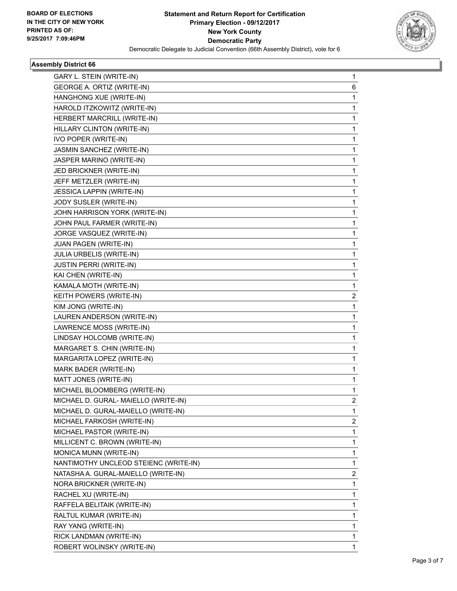

## **Assembly District 66**

| GARY L. STEIN (WRITE-IN)              | 1 |
|---------------------------------------|---|
| GEORGE A. ORTIZ (WRITE-IN)            | 6 |
| HANGHONG XUE (WRITE-IN)               | 1 |
| HAROLD ITZKOWITZ (WRITE-IN)           | 1 |
| HERBERT MARCRILL (WRITE-IN)           | 1 |
| HILLARY CLINTON (WRITE-IN)            | 1 |
| IVO POPER (WRITE-IN)                  | 1 |
| JASMIN SANCHEZ (WRITE-IN)             | 1 |
| JASPER MARINO (WRITE-IN)              | 1 |
| JED BRICKNER (WRITE-IN)               | 1 |
| JEFF METZLER (WRITE-IN)               | 1 |
| JESSICA LAPPIN (WRITE-IN)             | 1 |
| JODY SUSLER (WRITE-IN)                | 1 |
| JOHN HARRISON YORK (WRITE-IN)         | 1 |
| JOHN PAUL FARMER (WRITE-IN)           | 1 |
| JORGE VASQUEZ (WRITE-IN)              | 1 |
| JUAN PAGEN (WRITE-IN)                 | 1 |
| JULIA URBELIS (WRITE-IN)              | 1 |
| <b>JUSTIN PERRI (WRITE-IN)</b>        | 1 |
| KAI CHEN (WRITE-IN)                   | 1 |
| KAMALA MOTH (WRITE-IN)                | 1 |
| KEITH POWERS (WRITE-IN)               | 2 |
| KIM JONG (WRITE-IN)                   | 1 |
| LAUREN ANDERSON (WRITE-IN)            | 1 |
| LAWRENCE MOSS (WRITE-IN)              | 1 |
| LINDSAY HOLCOMB (WRITE-IN)            | 1 |
| MARGARET S. CHIN (WRITE-IN)           | 1 |
| MARGARITA LOPEZ (WRITE-IN)            | 1 |
| MARK BADER (WRITE-IN)                 | 1 |
| MATT JONES (WRITE-IN)                 | 1 |
| MICHAEL BLOOMBERG (WRITE-IN)          | 1 |
| MICHAEL D. GURAL- MAIELLO (WRITE-IN)  | 2 |
| MICHAEL D. GURAL-MAIELLO (WRITE-IN)   | 1 |
| MICHAEL FARKOSH (WRITE-IN)            | 2 |
| MICHAEL PASTOR (WRITE-IN)             | 1 |
| MILLICENT C. BROWN (WRITE-IN)         | 1 |
| MONICA MUNN (WRITE-IN)                | 1 |
| NANTIMOTHY UNCLEOD STEIENC (WRITE-IN) | 1 |
| NATASHA A. GURAL-MAIELLO (WRITE-IN)   | 2 |
| NORA BRICKNER (WRITE-IN)              | 1 |
| RACHEL XU (WRITE-IN)                  | 1 |
| RAFFELA BELITAIK (WRITE-IN)           | 1 |
| RALTUL KUMAR (WRITE-IN)               | 1 |
| RAY YANG (WRITE-IN)                   | 1 |
| RICK LANDMAN (WRITE-IN)               | 1 |
| ROBERT WOLINSKY (WRITE-IN)            | 1 |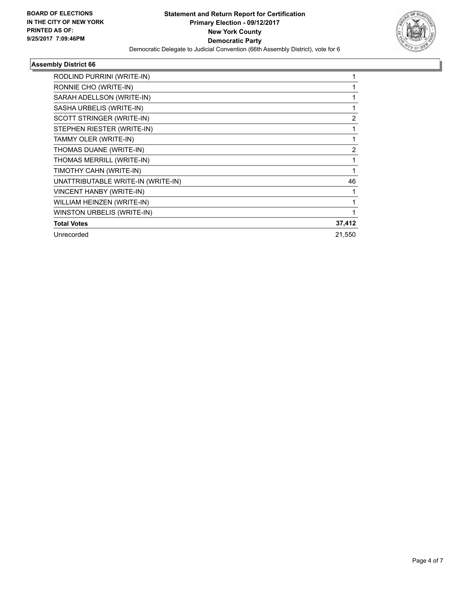

## **Assembly District 66**

| RODLIND PURRINI (WRITE-IN)         |        |
|------------------------------------|--------|
| RONNIE CHO (WRITE-IN)              |        |
| SARAH ADELLSON (WRITE-IN)          |        |
| SASHA URBELIS (WRITE-IN)           |        |
| SCOTT STRINGER (WRITE-IN)          | 2      |
| STEPHEN RIESTER (WRITE-IN)         | 1      |
| TAMMY OLER (WRITE-IN)              |        |
| THOMAS DUANE (WRITE-IN)            | 2      |
| THOMAS MERRILL (WRITE-IN)          | 1      |
| TIMOTHY CAHN (WRITE-IN)            |        |
| UNATTRIBUTABLE WRITE-IN (WRITE-IN) | 46     |
| VINCENT HANBY (WRITE-IN)           |        |
| WILLIAM HEINZEN (WRITE-IN)         |        |
| WINSTON URBELIS (WRITE-IN)         |        |
| <b>Total Votes</b>                 | 37,412 |
| Unrecorded                         | 21,550 |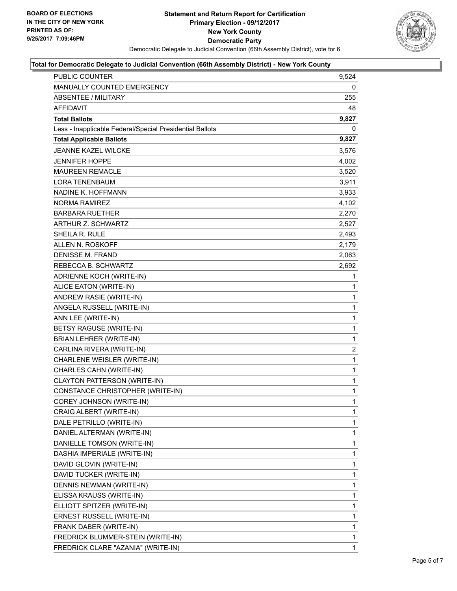

#### **Total for Democratic Delegate to Judicial Convention (66th Assembly District) - New York County**

| <b>PUBLIC COUNTER</b>                                    | 9,524        |
|----------------------------------------------------------|--------------|
| <b>MANUALLY COUNTED EMERGENCY</b>                        | 0            |
| <b>ABSENTEE / MILITARY</b>                               | 255          |
| <b>AFFIDAVIT</b>                                         | 48           |
| <b>Total Ballots</b>                                     | 9,827        |
| Less - Inapplicable Federal/Special Presidential Ballots | 0            |
| <b>Total Applicable Ballots</b>                          | 9,827        |
| <b>JEANNE KAZEL WILCKE</b>                               | 3,576        |
| <b>JENNIFER HOPPE</b>                                    | 4,002        |
| MAUREEN REMACLE                                          | 3,520        |
| <b>LORA TENENBAUM</b>                                    | 3,911        |
| NADINE K. HOFFMANN                                       | 3,933        |
| NORMA RAMIREZ                                            | 4,102        |
| BARBARA RUETHER                                          | 2,270        |
| <b>ARTHUR Z. SCHWARTZ</b>                                | 2,527        |
| SHEILA R. RULE                                           | 2,493        |
| ALLEN N. ROSKOFF                                         | 2,179        |
| <b>DENISSE M. FRAND</b>                                  | 2,063        |
| REBECCA B. SCHWARTZ                                      | 2,692        |
| ADRIENNE KOCH (WRITE-IN)                                 | 1            |
| ALICE EATON (WRITE-IN)                                   | 1            |
| ANDREW RASIE (WRITE-IN)                                  | 1            |
| ANGELA RUSSELL (WRITE-IN)                                | 1            |
| ANN LEE (WRITE-IN)                                       | 1            |
| BETSY RAGUSE (WRITE-IN)                                  | $\mathbf{1}$ |
| BRIAN LEHRER (WRITE-IN)                                  | 1            |
| CARLINA RIVERA (WRITE-IN)                                | 2            |
| CHARLENE WEISLER (WRITE-IN)                              | 1            |
| CHARLES CAHN (WRITE-IN)                                  | 1            |
| CLAYTON PATTERSON (WRITE-IN)                             | 1            |
| CONSTANCE CHRISTOPHER (WRITE-IN)                         | $\mathbf{1}$ |
| COREY JOHNSON (WRITE-IN)                                 | $\mathbf{1}$ |
| CRAIG ALBERT (WRITE-IN)                                  | 1            |
| DALE PETRILLO (WRITE-IN)                                 | $\mathbf 1$  |
| DANIEL ALTERMAN (WRITE-IN)                               | 1            |
| DANIELLE TOMSON (WRITE-IN)                               | 1            |
| DASHIA IMPERIALE (WRITE-IN)                              | 1            |
| DAVID GLOVIN (WRITE-IN)                                  | 1            |
| DAVID TUCKER (WRITE-IN)                                  | 1            |
| DENNIS NEWMAN (WRITE-IN)                                 | 1            |
| ELISSA KRAUSS (WRITE-IN)                                 | 1            |
| ELLIOTT SPITZER (WRITE-IN)                               | 1            |
| ERNEST RUSSELL (WRITE-IN)                                | 1            |
| FRANK DABER (WRITE-IN)                                   | 1            |
| FREDRICK BLUMMER-STEIN (WRITE-IN)                        | $\mathbf 1$  |
| FREDRICK CLARE "AZANIA" (WRITE-IN)                       | 1            |
|                                                          |              |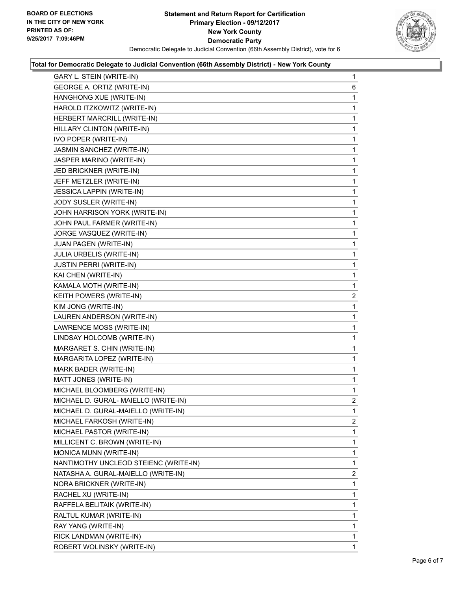

#### **Total for Democratic Delegate to Judicial Convention (66th Assembly District) - New York County**

| GARY L. STEIN (WRITE-IN)              | $\mathbf 1$    |
|---------------------------------------|----------------|
| GEORGE A. ORTIZ (WRITE-IN)            | 6              |
| HANGHONG XUE (WRITE-IN)               | 1              |
| HAROLD ITZKOWITZ (WRITE-IN)           | 1              |
| HERBERT MARCRILL (WRITE-IN)           | 1              |
| HILLARY CLINTON (WRITE-IN)            | 1              |
| IVO POPER (WRITE-IN)                  | 1              |
| JASMIN SANCHEZ (WRITE-IN)             | 1              |
| JASPER MARINO (WRITE-IN)              | 1              |
| JED BRICKNER (WRITE-IN)               | 1              |
| JEFF METZLER (WRITE-IN)               | 1              |
| JESSICA LAPPIN (WRITE-IN)             | 1              |
| JODY SUSLER (WRITE-IN)                | 1              |
| JOHN HARRISON YORK (WRITE-IN)         | 1              |
| JOHN PAUL FARMER (WRITE-IN)           | 1              |
| JORGE VASQUEZ (WRITE-IN)              | 1              |
| JUAN PAGEN (WRITE-IN)                 | 1              |
| JULIA URBELIS (WRITE-IN)              | 1              |
| <b>JUSTIN PERRI (WRITE-IN)</b>        | 1              |
| KAI CHEN (WRITE-IN)                   | 1              |
| KAMALA MOTH (WRITE-IN)                | 1              |
| KEITH POWERS (WRITE-IN)               | $\overline{2}$ |
| KIM JONG (WRITE-IN)                   | 1              |
| LAUREN ANDERSON (WRITE-IN)            | 1              |
| LAWRENCE MOSS (WRITE-IN)              | 1              |
| LINDSAY HOLCOMB (WRITE-IN)            | 1              |
| MARGARET S. CHIN (WRITE-IN)           | 1              |
| MARGARITA LOPEZ (WRITE-IN)            | 1              |
| MARK BADER (WRITE-IN)                 | 1              |
| MATT JONES (WRITE-IN)                 | 1              |
| MICHAEL BLOOMBERG (WRITE-IN)          | 1              |
| MICHAEL D. GURAL- MAIELLO (WRITE-IN)  | 2              |
| MICHAEL D. GURAL-MAIELLO (WRITE-IN)   | 1              |
| MICHAEL FARKOSH (WRITE-IN)            | $\overline{2}$ |
| MICHAEL PASTOR (WRITE-IN)             | 1              |
| MILLICENT C. BROWN (WRITE-IN)         | 1              |
| MONICA MUNN (WRITE-IN)                | 1              |
| NANTIMOTHY UNCLEOD STEIENC (WRITE-IN) | 1              |
| NATASHA A. GURAL-MAIELLO (WRITE-IN)   | 2              |
| NORA BRICKNER (WRITE-IN)              | 1              |
| RACHEL XU (WRITE-IN)                  | 1              |
| RAFFELA BELITAIK (WRITE-IN)           | 1              |
| RALTUL KUMAR (WRITE-IN)               | 1              |
| RAY YANG (WRITE-IN)                   | 1              |
| RICK LANDMAN (WRITE-IN)               | 1              |
| ROBERT WOLINSKY (WRITE-IN)            | 1              |
|                                       |                |